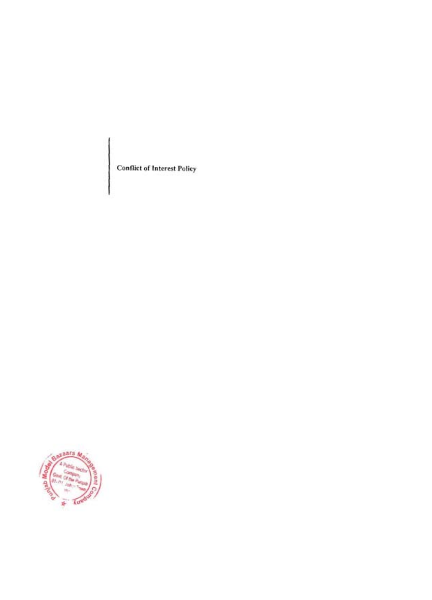Conflict of Interest Policy

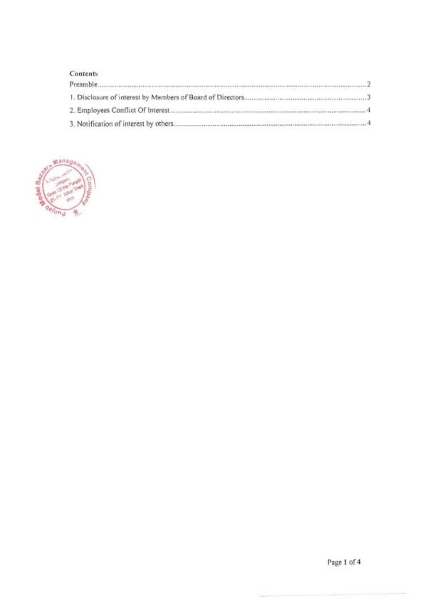|  | Contents |  |
|--|----------|--|
|  |          |  |

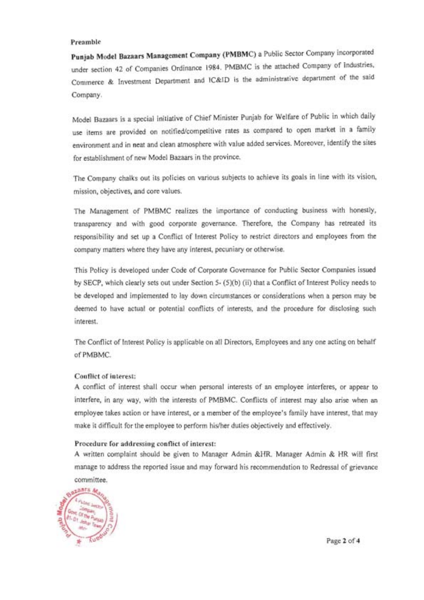#### **Preamble**

**Punjab Model Bazaars Management Company (PMBMC)** a Public Sector Company incorporated under section 42 of Companies Ordinance 1984 . PMBMC is the attached Company of Industries, Commerce & Investment Department and lC&1D is the administrative department of the said Company.

Model Bazaars is a special initiative of Chief Minister Punjab for Welfare of Public in which daily use items are provided on notified/competitive rates as compared to open market in a family environment and in neat and clean atmosphere with value added services. Moreover, identify the sites for establishment of new Model Bazaars in the province.

The Company chalks out its policies on various subjects to achieve its goals in line with its vision, **mission, objectives, and core values.** 

The Management of PMBMC realizes the importance of conducting business with honestly, transparency and with good corporate governance. Therefore, the Company has retreated its responsibility and set up a Conflict of Interest Policy to restrict directors and employees from the company matters where they have any interest, pecuniary or otherwise.

This Policy is developed under Code of Corporate Governance for Public Sector Companies issued by SECP, which clearly sets out under Section 5- (5)(b) (ii) that a Conflict of Interest Policy needs to be developed and implemented to lay down circumstances or considerations when a person may be deemed to have actual or potential conflicts of interests, and the procedure for disclosing such **interest.** 

The Conflict of Interest Policy is applicable on all Directors, Employees and anyone acting on behalf ofPMBMC.

#### Couflict of interest:

A conflict of interest shall Occur when personal interests of an employee interferes, or appear to interfere, in any way, with the interests of PMBMC. Conflicts of interest may also arise when an employee takes action or have interest, or a member of the employee's family have interest, that may make it difficult for the employee to perfonn his/her duties objectively and effectively.

#### **Procedure for addressing contlict of interest:**

A written complaint should be given to Manager Admin &HR. Manager Admin & HR will first manage to address the reported issue and may forward his recommendation to Redressal of grievance **committee.** 



Page 2 of 4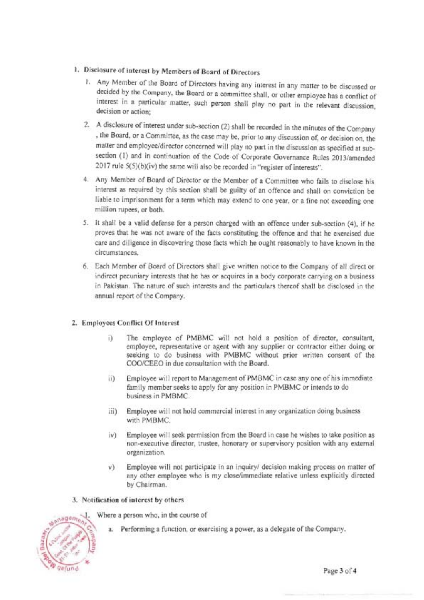# **I.**  Disclosure of **interest** by Members of Board of Directors

- 1. Any Member of the Board of Directors having any interest in any matter to be discussed or decided by the Company, the Board or a committee shall, or other employee has a conflict of interest in a particular matter, such person shall play no part in the relevant discussion, **decision or action;**
- 2. A disclosure of interest under sub-section (2) shall be recorded in the minutes of the Company , the Board, or a Committee, as the case may be, prior to any discussion of, or decision on, the matter and employee/director concerned will play no part in the discussion as specified at subsection (I) and in continuation of the Code of Corporate Governance Rules 2013/amended 2017 rule 5(5)(b)(iv) the same will also be recorded in "register of interests".
- 4. Any Member of Board of Director or the Member of a Committee who fails to disclose his interest as required by this section shall be guilty of an offence and shall on conviction be liable to imprisonment for a term which may extend to one year, or a fine not exceeding one million rupees, or both.
- 5. It shall be a valid defense for a person charged with an offence under sub-section (4), if he proves that he was not aware of the facts constituting the offence and that he exercised due care and diligence in discovering those facts which he ought reasonably to have known in the **circumstances.**
- 6. Each Member of Board of Directors shall give written notice to the Company of all direct or indirect pecuniary interests that he has or acquires in a body corporate carrying on a business in Pakistan. The nature of such interests and the particulars thereof shall be disclosed in the annual report of the Company.

# 2. Employees Conflict Of Interest

- i) The employee of PMBMC will not hold a position of director, consultant, employee, representative or agent with any supplier or contractor either doing or seeking to do business with PMBMC without prior written consent of the COOICEEO in due consultation with the Board.
- ii) Employee will report to Management of PMBMC in case any one of his immediate family member seeks to apply for any position in PMBMC or intends to do business in PMBMC.
- iii) Employee will not hold commercial interest in any organization doing business with PMBMC.
- iv) Employee will seek permission from the Board in case he wishes to take position as non-executive director, trustee, honorary or supervisory position with any external **organization.**
- v) Employee will not participate in an inquiry/ decision making process on matter of any other employee who is my close/immediate relative unless explicitly directed by Chairman.
- 3. Notification of interest by others



- Where a person who, in the course of
	- a. Performing a function, or exercising a power, as a delegate of the Company.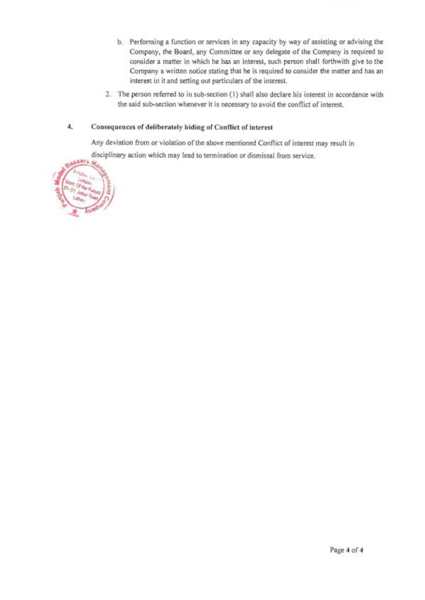- b. Performing a function or services in any capacity by way of assisting or advising the Company, the Board, any Committee or any delegate of the Company is required to consider a matter in which he has an interest, such person shall forthwith give to the Company a wrilten notice stating that he is required to consider the matter and has an interest in it and setting out particulars of the interest.
- 2. The person referred to in sub-section (1) shall also declare his interest in accordance with the said sub-section whenever it is necessary to avoid the conflict of interest.

### 4. Consequences of deliberately hiding of Conflict of interest

Any deviation from or violation of the above mentioned Conflict of interest may result in disciplinary action which may lead to termination or dismissal from service.

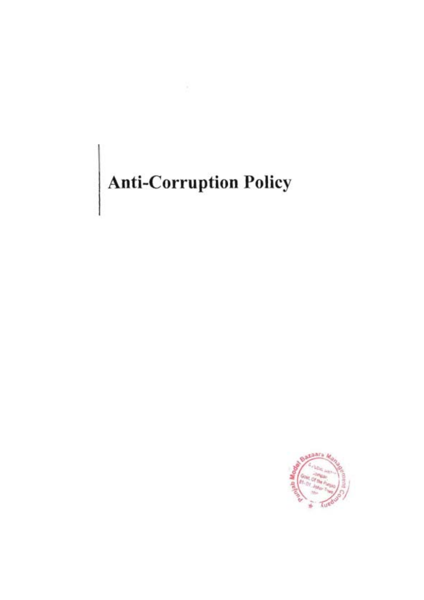# Anti-Corruption Policy

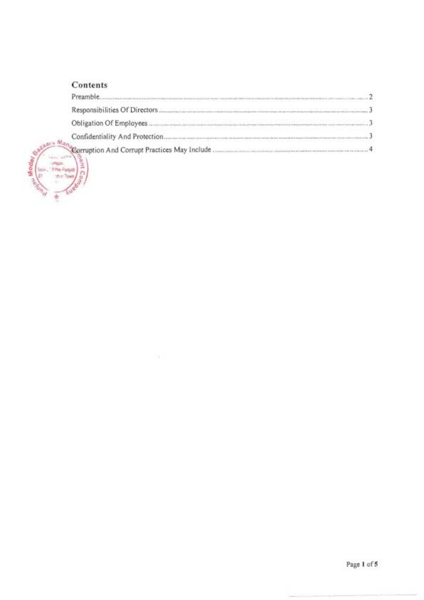# **Contents**

| TANG TANG MANAKAN MUMAM MANAKAN TANG MANGGANG MANGGAN MANGGAN NG MANGGAN MANGGAN MANGGAN MANGGAN MANGGAN MANGG |  |
|----------------------------------------------------------------------------------------------------------------|--|
|                                                                                                                |  |
|                                                                                                                |  |
|                                                                                                                |  |
|                                                                                                                |  |

Dá.



Page 1 of 5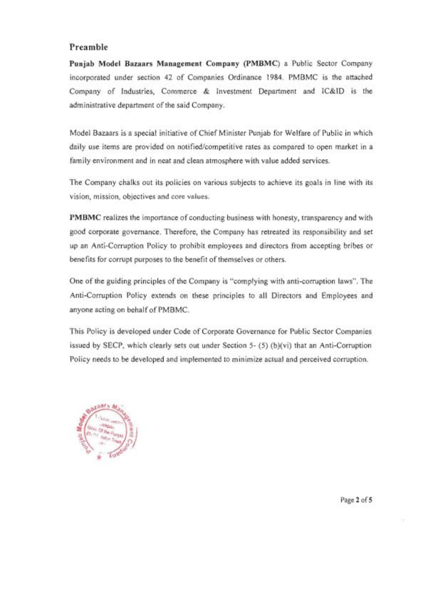# **Preamble**

**Punjab Model Bazaars Management Company (PMBMC)** a Public Sector Company incorporated under section 42 of Companies Ordinance 1984. PMBMC is the attached Company of Industries, Commerce & Investment Department and IC&ID is the administrative department of the said Company.

Model Bazaars is a special initiative of Chief Minister Punjab for Welfare of Public in which daily use items are provided on notified/competitive rates as compared to open market in a family environment and in neat and clean atmosphere with value added services.

The Company chalks out its policies on various subjects to achieve its goals in line with its **vision, mission, objectives and core values.** 

**PMBMC** realizes the importance of conducting business with honesty, transparency and with good corporate governance. Therefore, the Company has retreated its responsibility and set up an Anti-Corruption Policy to prohibit employees and directors from accepting bribes or benefits for corrupt purposes to the benefit of themselves or others.

One of the guiding principles of the Company is "complying with anti-corruption laws". The Anti-Corruption Policy extends on these principles to all Directors and Employees and anyone acting on behalf of PMBMC.

This Policy is developed under Code of Corporate Governance for Public Sector Companies issued by SECP, which clearly sets out under Section 5- (5) (b)(vi) that an Anti-Corruption Policy needs to be developed and implemented to minimize actual and perceived corruption.



Page 2 of 5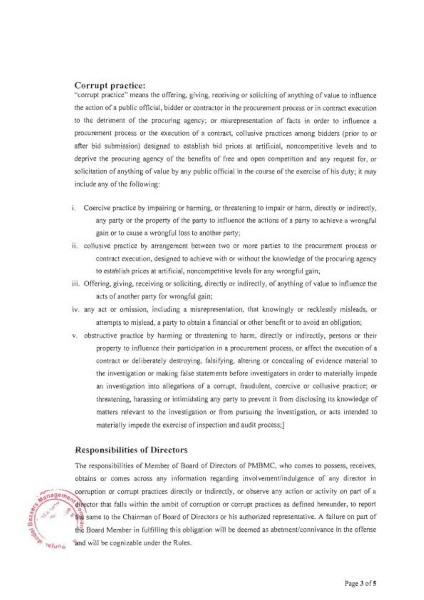#### **Corrupt practice:**

"corrupt practice" means the offering. giving, receiving or soliciting of anything of value to influence the action of a public official, bidder or contractor in the procurement process or in contract execution to the detriment of the procuring agency; or misrepresentation of facts in order to influence a procurement process or the execution of a contract, collusive practices among bidders (prior to or after bid submission) designed to establish bid prices at artificial, noncompetitive levels and to deprive the procuring agency of the benefits of free and open competition and any request for, or solicitation of anything of value by any public official in the course of the exercise of his duty; it may include any of the following:

- i. Coercive practice by impairing or harming, or threatening to impair or harm, directly or indirectly, any party or the property of the party to influence the actions of a party to achieve a wrongful gain or to cause a wrongful loss to another party;
- ii . collusive practice by arrangement between two or more parties to the procurement process or contract execution, designed to achieve with Or without the knowledge of the procuring agency to establish prices at artificial, noncompetitive levels for any wrongful gain;
- iii. Offering, giving, receiving or soliciting, directly or indirectly, of anything of value to influence the acts of another party for wrongful gain;
- iv. any act or omission, including a misrepresentation, that knowingly or recklessly misleads, or attempts to mislead, a party to obtain a financial or other benefit or to avoid an obligation;
- v. obstructive practice by harming or threatening to harm, directly or indirectly, persons or their property to influence their participation in a procurement process, or affect the execution of a contract or deliberately destroying, falsifying, altering or concealing of evidence material to the investigation or making false statements before investigators in order to materially impede an investigation into allegations of a corrupt, fraudulent, coercive or collusive practice; or threatening, harassing or intimidating any party to prevent it from disclosing its knowledge of matters relevant to the investigation or from pursuing the investigation, or acts intended to materially impede the exercise of inspection and audit process;]

#### **Responsibilities of Directors**

The responsibilities of Member of Board of Directors of PMBMC, who comes to possess, receives, obtains or comes across any information regarding involvement/indulgence of any director in corruption or corrupt practices directly or indirectly, or observe any action or activity on part of a  $\frac{1}{2}$ anage $m_0$  $\frac{d}{dt}$  frector that falls within the ambit of corruption or corrupt practices as defined hereunder, to report we same to the Chairman of Board of Directors or his authorized representative. A failure on part of the Board Member in fulfilling this obligation will be deemed as abetment/connivance in the offense  $n_{\text{Hun}_\text{D}}$  and will be cognizable under the Rules.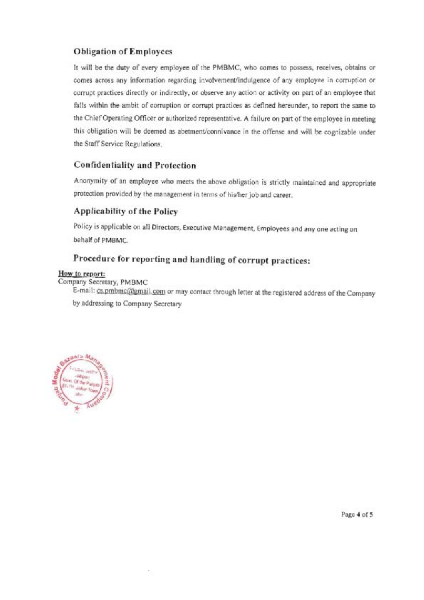# **Obligation of Employees**

It will be the duty of every employee of the PMBMC, who comes to possess, receives, obtains or comes across any information regarding involvement/indulgence of any employee in corruption or corrupt practices directly or indirectly, or observe any action or activity on part of an employee that falls within the ambit of corruption or corrupt practices as defined hereunder, to report the same to the Chief Operating Officer or authorized representative. A failure on part of the employee in meeting this obligation will be deemed as abetment/connivance in the offense and will be cognizable under the Staff Service Regulations.

# **Confidentiality and Protection**

Anonymity of an employee who meets the above obligation is strictly maintained and appropriate protection provided by the management in terms of hislher job and career.

# **Applicability of the Policy**

Policy is applicable On all Directors, Executive Management, Employees and anyone acting on behalf of PMBMC.

# Procedure for reporting and handling of corrupt practices:

#### **How to report;**

Company Secretary, PMBMC

E-mail: cs.pmbmc@gmail.com or may contact through letter at the registered address of the Company by addressing to Company Secretary



Page 4 of 5